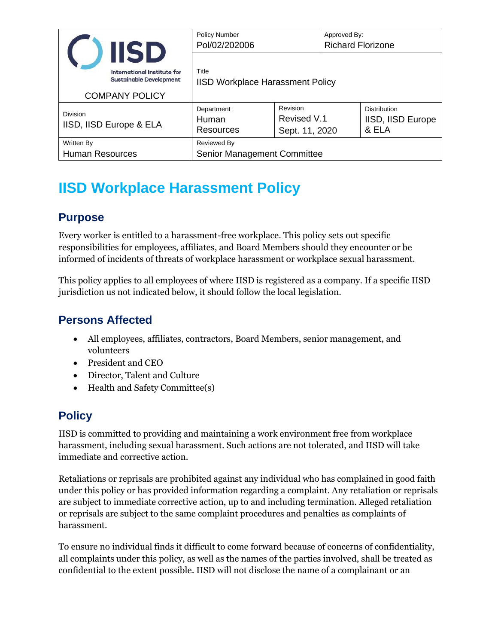|                                            | <b>IISD</b>                                                                            | <b>Policy Number</b><br>Pol/02/202006            |                                                                                                       | Approved By:<br><b>Richard Florizone</b> |  |
|--------------------------------------------|----------------------------------------------------------------------------------------|--------------------------------------------------|-------------------------------------------------------------------------------------------------------|------------------------------------------|--|
|                                            | International Institute for<br><b>Sustainable Development</b><br><b>COMPANY POLICY</b> | Title<br><b>IISD Workplace Harassment Policy</b> |                                                                                                       |                                          |  |
| <b>Division</b><br>IISD, IISD Europe & ELA |                                                                                        | Department<br>Human<br>Resources                 | Revision<br><b>Distribution</b><br>Revised V.1<br><b>IISD, IISD Europe</b><br>& ELA<br>Sept. 11, 2020 |                                          |  |
| Written By<br><b>Human Resources</b>       |                                                                                        | Reviewed By<br>Senior Management Committee       |                                                                                                       |                                          |  |

# **IISD Workplace Harassment Policy**

# **Purpose**

Every worker is entitled to a harassment-free workplace. This policy sets out specific responsibilities for employees, affiliates, and Board Members should they encounter or be informed of incidents of threats of workplace harassment or workplace sexual harassment.

This policy applies to all employees of where IISD is registered as a company. If a specific IISD jurisdiction us not indicated below, it should follow the local legislation.

### **Persons Affected**

- All employees, affiliates, contractors, Board Members, senior management, and volunteers
- President and CEO
- Director, Talent and Culture
- Health and Safety Committee(s)

# **Policy**

IISD is committed to providing and maintaining a work environment free from workplace harassment, including sexual harassment. Such actions are not tolerated, and IISD will take immediate and corrective action.

Retaliations or reprisals are prohibited against any individual who has complained in good faith under this policy or has provided information regarding a complaint. Any retaliation or reprisals are subject to immediate corrective action, up to and including termination. Alleged retaliation or reprisals are subject to the same complaint procedures and penalties as complaints of harassment.

To ensure no individual finds it difficult to come forward because of concerns of confidentiality, all complaints under this policy, as well as the names of the parties involved, shall be treated as confidential to the extent possible. IISD will not disclose the name of a complainant or an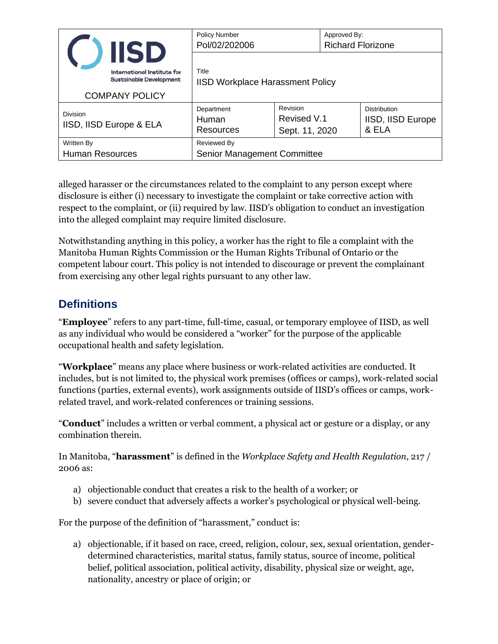| <b>IISD</b>                                                                            | <b>Policy Number</b><br>Pol/02/202006            |                                           | Approved By:<br><b>Richard Florizone</b> |                                                   |
|----------------------------------------------------------------------------------------|--------------------------------------------------|-------------------------------------------|------------------------------------------|---------------------------------------------------|
| International Institute for<br><b>Sustainable Development</b><br><b>COMPANY POLICY</b> | Title<br><b>IISD Workplace Harassment Policy</b> |                                           |                                          |                                                   |
|                                                                                        |                                                  |                                           |                                          |                                                   |
| <b>Division</b><br>IISD, IISD Europe & ELA                                             | Department<br>Human<br>Resources                 | Revision<br>Revised V.1<br>Sept. 11, 2020 |                                          | <b>Distribution</b><br>IISD, IISD Europe<br>& ELA |
| Written By<br><b>Human Resources</b>                                                   | Reviewed By<br>Senior Management Committee       |                                           |                                          |                                                   |

alleged harasser or the circumstances related to the complaint to any person except where disclosure is either (i) necessary to investigate the complaint or take corrective action with respect to the complaint, or (ii) required by law. IISD's obligation to conduct an investigation into the alleged complaint may require limited disclosure.

Notwithstanding anything in this policy, a worker has the right to file a complaint with the Manitoba Human Rights Commission or the Human Rights Tribunal of Ontario or the competent labour court. This policy is not intended to discourage or prevent the complainant from exercising any other legal rights pursuant to any other law.

#### **Definitions**

"**Employee**" refers to any part-time, full-time, casual, or temporary employee of IISD, as well as any individual who would be considered a "worker" for the purpose of the applicable occupational health and safety legislation.

"**Workplace**" means any place where business or work-related activities are conducted. It includes, but is not limited to, the physical work premises (offices or camps), work-related social functions (parties, external events), work assignments outside of IISD's offices or camps, workrelated travel, and work-related conferences or training sessions.

"**Conduct**" includes a written or verbal comment, a physical act or gesture or a display, or any combination therein.

In Manitoba, "**harassment**" is defined in the *Workplace Safety and Health Regulation*, 217 / 2006 as:

- a) objectionable conduct that creates a risk to the health of a worker; or
- b) severe conduct that adversely affects a worker's psychological or physical well-being.

For the purpose of the definition of "harassment," conduct is:

a) objectionable, if it based on race, creed, religion, colour, sex, sexual orientation, genderdetermined characteristics, marital status, family status, source of income, political belief, political association, political activity, disability, physical size or weight, age, nationality, ancestry or place of origin; or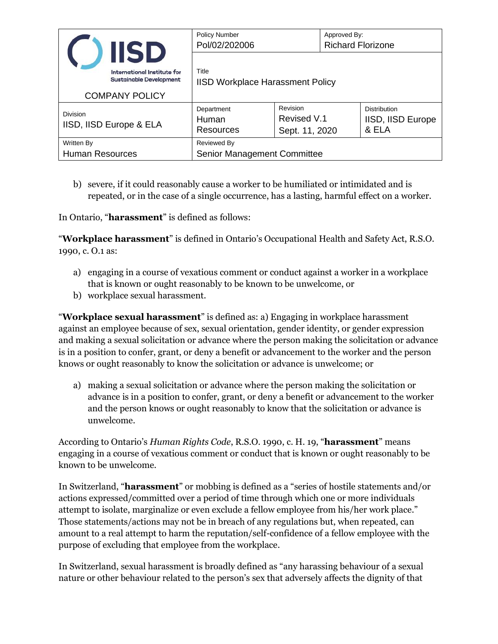|                                             | <b>IISD</b>                                                   | <b>Policy Number</b><br>Pol/02/202006            |                                                                           | Approved By:<br><b>Richard Florizone</b> |                          |  |
|---------------------------------------------|---------------------------------------------------------------|--------------------------------------------------|---------------------------------------------------------------------------|------------------------------------------|--------------------------|--|
|                                             | International Institute for<br><b>Sustainable Development</b> | Title<br><b>IISD Workplace Harassment Policy</b> |                                                                           |                                          |                          |  |
|                                             | <b>COMPANY POLICY</b>                                         |                                                  |                                                                           |                                          |                          |  |
| <b>Division</b><br>IISD, IISD Europe & ELA  |                                                               | Department<br>Human<br><b>Resources</b>          | Revision<br><b>Distribution</b><br>Revised V.1<br>& ELA<br>Sept. 11, 2020 |                                          | <b>IISD, IISD Europe</b> |  |
| <b>Written By</b><br><b>Human Resources</b> |                                                               | Reviewed By<br>Senior Management Committee       |                                                                           |                                          |                          |  |

b) severe, if it could reasonably cause a worker to be humiliated or intimidated and is repeated, or in the case of a single occurrence, has a lasting, harmful effect on a worker.

In Ontario, "**harassment**" is defined as follows:

"**Workplace harassment**" is defined in Ontario's Occupational Health and Safety Act, R.S.O. 1990, c. O.1 as:

- a) engaging in a course of vexatious comment or conduct against a worker in a workplace that is known or ought reasonably to be known to be unwelcome, or
- b) workplace sexual harassment.

"**Workplace sexual harassment**" is defined as: a) Engaging in workplace harassment against an employee because of sex, sexual orientation, gender identity, or gender expression and making a sexual solicitation or advance where the person making the solicitation or advance is in a position to confer, grant, or deny a benefit or advancement to the worker and the person knows or ought reasonably to know the solicitation or advance is unwelcome; or

a) making a sexual solicitation or advance where the person making the solicitation or advance is in a position to confer, grant, or deny a benefit or advancement to the worker and the person knows or ought reasonably to know that the solicitation or advance is unwelcome.

According to Ontario's *Human Rights Code*, R.S.O. 1990, c. H. 19, "**harassment**" means engaging in a course of vexatious comment or conduct that is known or ought reasonably to be known to be unwelcome.

In Switzerland, "**harassment**" or mobbing is defined as a "series of hostile statements and/or actions expressed/committed over a period of time through which one or more individuals attempt to isolate, marginalize or even exclude a fellow employee from his/her work place." Those statements/actions may not be in breach of any regulations but, when repeated, can amount to a real attempt to harm the reputation/self-confidence of a fellow employee with the purpose of excluding that employee from the workplace.

In Switzerland, sexual harassment is broadly defined as "any harassing behaviour of a sexual nature or other behaviour related to the person's sex that adversely affects the dignity of that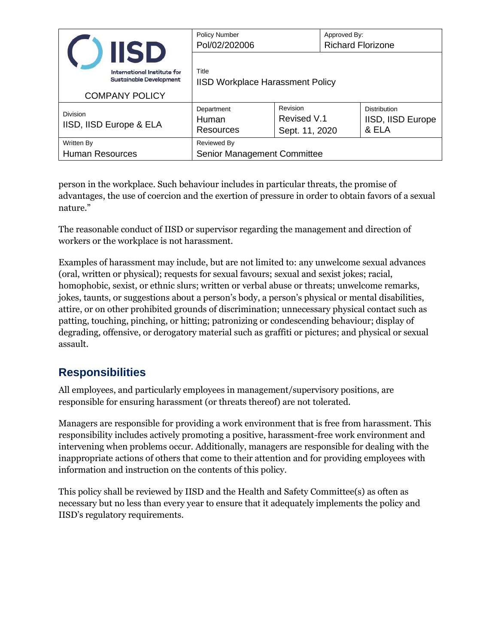| <b>IISD</b>                                 |                                                               | <b>Policy Number</b><br>Pol/02/202006            |                                                                           | Approved By:<br><b>Richard Florizone</b> |                   |  |
|---------------------------------------------|---------------------------------------------------------------|--------------------------------------------------|---------------------------------------------------------------------------|------------------------------------------|-------------------|--|
|                                             | International Institute for<br><b>Sustainable Development</b> | Title<br><b>IISD Workplace Harassment Policy</b> |                                                                           |                                          |                   |  |
| <b>COMPANY POLICY</b>                       |                                                               |                                                  |                                                                           |                                          |                   |  |
| <b>Division</b><br>IISD, IISD Europe & ELA  |                                                               | Department<br><b>Human</b><br>Resources          | Revision<br><b>Distribution</b><br>Revised V.1<br>& ELA<br>Sept. 11, 2020 |                                          | IISD, IISD Europe |  |
| <b>Written By</b><br><b>Human Resources</b> |                                                               | Reviewed By<br>Senior Management Committee       |                                                                           |                                          |                   |  |

person in the workplace. Such behaviour includes in particular threats, the promise of advantages, the use of coercion and the exertion of pressure in order to obtain favors of a sexual nature."

The reasonable conduct of IISD or supervisor regarding the management and direction of workers or the workplace is not harassment.

Examples of harassment may include, but are not limited to: any unwelcome sexual advances (oral, written or physical); requests for sexual favours; sexual and sexist jokes; racial, homophobic, sexist, or ethnic slurs; written or verbal abuse or threats; unwelcome remarks, jokes, taunts, or suggestions about a person's body, a person's physical or mental disabilities, attire, or on other prohibited grounds of discrimination; unnecessary physical contact such as patting, touching, pinching, or hitting; patronizing or condescending behaviour; display of degrading, offensive, or derogatory material such as graffiti or pictures; and physical or sexual assault.

# **Responsibilities**

All employees, and particularly employees in management/supervisory positions, are responsible for ensuring harassment (or threats thereof) are not tolerated.

Managers are responsible for providing a work environment that is free from harassment. This responsibility includes actively promoting a positive, harassment-free work environment and intervening when problems occur. Additionally, managers are responsible for dealing with the inappropriate actions of others that come to their attention and for providing employees with information and instruction on the contents of this policy.

This policy shall be reviewed by IISD and the Health and Safety Committee(s) as often as necessary but no less than every year to ensure that it adequately implements the policy and IISD's regulatory requirements.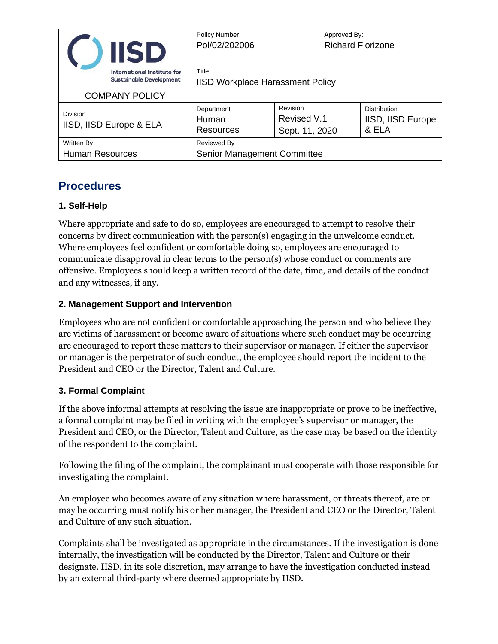| <b>IISD</b>                                                                                                                                |  | <b>Policy Number</b><br>Pol/02/202006      |                                                                           | Approved By:<br><b>Richard Florizone</b> |                          |
|--------------------------------------------------------------------------------------------------------------------------------------------|--|--------------------------------------------|---------------------------------------------------------------------------|------------------------------------------|--------------------------|
| Title<br>International Institute for<br><b>Sustainable Development</b><br><b>IISD Workplace Harassment Policy</b><br><b>COMPANY POLICY</b> |  |                                            |                                                                           |                                          |                          |
| Division<br>IISD, IISD Europe & ELA                                                                                                        |  | Department<br>Human<br><b>Resources</b>    | Revision<br><b>Distribution</b><br>Revised V.1<br>& ELA<br>Sept. 11, 2020 |                                          | <b>IISD, IISD Europe</b> |
| Written By<br><b>Human Resources</b>                                                                                                       |  | Reviewed By<br>Senior Management Committee |                                                                           |                                          |                          |

## **Procedures**

#### **1. Self-Help**

Where appropriate and safe to do so, employees are encouraged to attempt to resolve their concerns by direct communication with the person(s) engaging in the unwelcome conduct. Where employees feel confident or comfortable doing so, employees are encouraged to communicate disapproval in clear terms to the person(s) whose conduct or comments are offensive. Employees should keep a written record of the date, time, and details of the conduct and any witnesses, if any.

#### **2. Management Support and Intervention**

Employees who are not confident or comfortable approaching the person and who believe they are victims of harassment or become aware of situations where such conduct may be occurring are encouraged to report these matters to their supervisor or manager. If either the supervisor or manager is the perpetrator of such conduct, the employee should report the incident to the President and CEO or the Director, Talent and Culture.

#### **3. Formal Complaint**

If the above informal attempts at resolving the issue are inappropriate or prove to be ineffective, a formal complaint may be filed in writing with the employee's supervisor or manager, the President and CEO, or the Director, Talent and Culture, as the case may be based on the identity of the respondent to the complaint.

Following the filing of the complaint, the complainant must cooperate with those responsible for investigating the complaint.

An employee who becomes aware of any situation where harassment, or threats thereof, are or may be occurring must notify his or her manager, the President and CEO or the Director, Talent and Culture of any such situation.

Complaints shall be investigated as appropriate in the circumstances. If the investigation is done internally, the investigation will be conducted by the Director, Talent and Culture or their designate. IISD, in its sole discretion, may arrange to have the investigation conducted instead by an external third-party where deemed appropriate by IISD.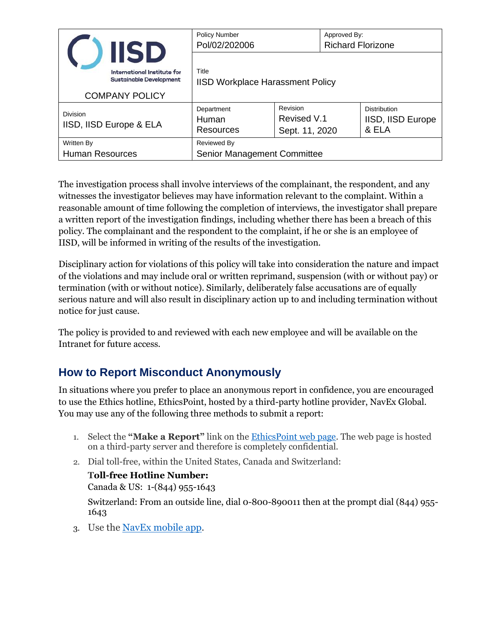| <b>IISD</b>                          |                                                               | <b>Policy Number</b><br>Pol/02/202006            |                                                                           | Approved By:<br><b>Richard Florizone</b> |                   |  |  |
|--------------------------------------|---------------------------------------------------------------|--------------------------------------------------|---------------------------------------------------------------------------|------------------------------------------|-------------------|--|--|
|                                      | International Institute for<br><b>Sustainable Development</b> | Title<br><b>IISD Workplace Harassment Policy</b> |                                                                           |                                          |                   |  |  |
| <b>COMPANY POLICY</b>                |                                                               |                                                  |                                                                           |                                          |                   |  |  |
| Division<br>IISD, IISD Europe & ELA  |                                                               | Department<br>Human<br>Resources                 | Revision<br><b>Distribution</b><br>Revised V.1<br>& ELA<br>Sept. 11, 2020 |                                          | IISD, IISD Europe |  |  |
| Written By<br><b>Human Resources</b> |                                                               | Reviewed By<br>Senior Management Committee       |                                                                           |                                          |                   |  |  |

The investigation process shall involve interviews of the complainant, the respondent, and any witnesses the investigator believes may have information relevant to the complaint. Within a reasonable amount of time following the completion of interviews, the investigator shall prepare a written report of the investigation findings, including whether there has been a breach of this policy. The complainant and the respondent to the complaint, if he or she is an employee of IISD, will be informed in writing of the results of the investigation.

Disciplinary action for violations of this policy will take into consideration the nature and impact of the violations and may include oral or written reprimand, suspension (with or without pay) or termination (with or without notice). Similarly, deliberately false accusations are of equally serious nature and will also result in disciplinary action up to and including termination without notice for just cause.

The policy is provided to and reviewed with each new employee and will be available on the Intranet for future access.

# **How to Report Misconduct Anonymously**

In situations where you prefer to place an anonymous report in confidence, you are encouraged to use the Ethics hotline, EthicsPoint, hosted by a third-party hotline provider, NavEx Global. You may use any of the following three methods to submit a report:

- 1. Select the **"Make a Report"** link on the [EthicsPoint web page.](http://iisd.ethicspoint.com/) The web page is hosted on a third-party server and therefore is completely confidential.
- 2. Dial toll-free, within the United States, Canada and Switzerland:

#### **Toll-free Hotline Number:**

Canada & US: 1-(844) 955-1643

Switzerland: From an outside line, dial 0-800-890011 then at the prompt dial (844) 955- 1643

3. Use the [NavEx mobile app.](http://iisdmobile.ethicspoint.com/)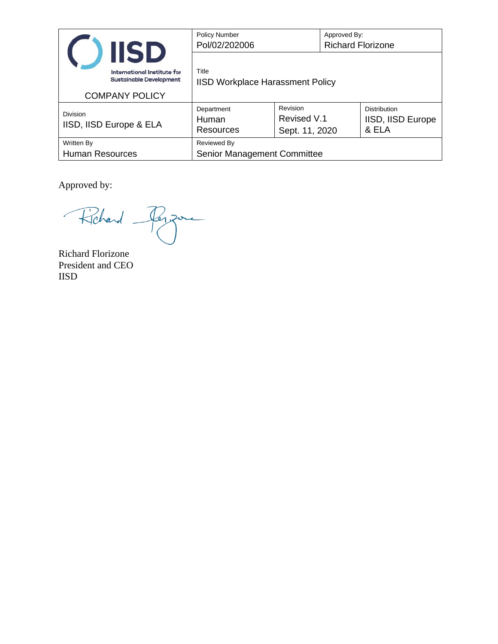|                                      | <b>IISD</b>                                                                            | <b>Policy Number</b><br>Pol/02/202006            |                                           | Approved By:<br><b>Richard Florizone</b> |                                                          |
|--------------------------------------|----------------------------------------------------------------------------------------|--------------------------------------------------|-------------------------------------------|------------------------------------------|----------------------------------------------------------|
|                                      | International Institute for<br><b>Sustainable Development</b><br><b>COMPANY POLICY</b> | Title<br><b>IISD Workplace Harassment Policy</b> |                                           |                                          |                                                          |
| Division<br>IISD, IISD Europe & ELA  |                                                                                        | Department<br>Human<br>Resources                 | Revision<br>Revised V.1<br>Sept. 11, 2020 |                                          | <b>Distribution</b><br><b>IISD, IISD Europe</b><br>& ELA |
| Written By<br><b>Human Resources</b> |                                                                                        | Reviewed By<br>Senior Management Committee       |                                           |                                          |                                                          |

Approved by:

Rohard Perguna

Richard Florizone President and CEO IISD